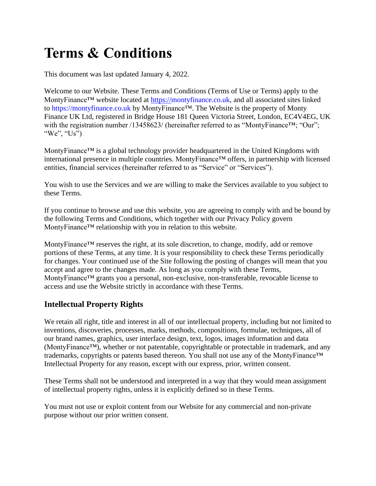# **Terms & Conditions**

This document was last updated January 4, 2022.

Welcome to our Website. These Terms and Conditions (Terms of Use or Terms) apply to the MontyFinance™ website located at [https://m](https://)ontyfinance.co.uk, and all associated sites linked to [https://montyfinance.co.uk](https://mymonty.com/) by MontyFinance™. The Website is the property of Monty Finance UK Ltd, registered in Bridge House 181 Queen Victoria Street, London, EC4V4EG, UK with the registration number /13458623/ (hereinafter referred to as "MontyFinance™; "Our"; "We", "Us")

MontyFinance™ is a global technology provider headquartered in the United Kingdoms with international presence in multiple countries. MontyFinance™ offers, in partnership with licensed entities, financial services (hereinafter referred to as "Service" or "Services").

You wish to use the Services and we are willing to make the Services available to you subject to these Terms.

If you continue to browse and use this website, you are agreeing to comply with and be bound by the following Terms and Conditions, which together with our Privacy Policy govern MontyFinance™ relationship with you in relation to this website.

MontyFinance™ reserves the right, at its sole discretion, to change, modify, add or remove portions of these Terms, at any time. It is your responsibility to check these Terms periodically for changes. Your continued use of the Site following the posting of changes will mean that you accept and agree to the changes made. As long as you comply with these Terms, MontyFinance™ grants you a personal, non-exclusive, non-transferable, revocable license to access and use the Website strictly in accordance with these Terms.

# **Intellectual Property Rights**

We retain all right, title and interest in all of our intellectual property, including but not limited to inventions, discoveries, processes, marks, methods, compositions, formulae, techniques, all of our brand names, graphics, user interface design, text, logos, images information and data (MontyFinance™), whether or not patentable, copyrightable or protectable in trademark, and any trademarks, copyrights or patents based thereon. You shall not use any of the MontyFinance™ Intellectual Property for any reason, except with our express, prior, written consent.

These Terms shall not be understood and interpreted in a way that they would mean assignment of intellectual property rights, unless it is explicitly defined so in these Terms.

You must not use or exploit content from our Website for any commercial and non-private purpose without our prior written consent.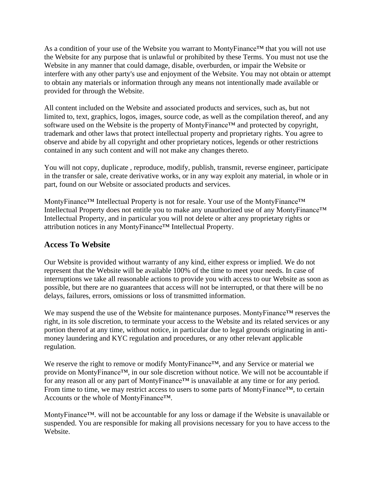As a condition of your use of the Website you warrant to MontyFinance<sup>™</sup> that you will not use the Website for any purpose that is unlawful or prohibited by these Terms. You must not use the Website in any manner that could damage, disable, overburden, or impair the Website or interfere with any other party's use and enjoyment of the Website. You may not obtain or attempt to obtain any materials or information through any means not intentionally made available or provided for through the Website.

All content included on the Website and associated products and services, such as, but not limited to, text, graphics, logos, images, source code, as well as the compilation thereof, and any software used on the Website is the property of MontyFinance™ and protected by copyright, trademark and other laws that protect intellectual property and proprietary rights. You agree to observe and abide by all copyright and other proprietary notices, legends or other restrictions contained in any such content and will not make any changes thereto.

You will not copy, duplicate , reproduce, modify, publish, transmit, reverse engineer, participate in the transfer or sale, create derivative works, or in any way exploit any material, in whole or in part, found on our Website or associated products and services.

MontyFinance™ Intellectual Property is not for resale. Your use of the MontyFinance™ Intellectual Property does not entitle you to make any unauthorized use of any MontyFinance™ Intellectual Property, and in particular you will not delete or alter any proprietary rights or attribution notices in any MontyFinance™ Intellectual Property.

### **Access To Website**

Our Website is provided without warranty of any kind, either express or implied. We do not represent that the Website will be available 100% of the time to meet your needs. In case of interruptions we take all reasonable actions to provide you with access to our Website as soon as possible, but there are no guarantees that access will not be interrupted, or that there will be no delays, failures, errors, omissions or loss of transmitted information.

We may suspend the use of the Website for maintenance purposes. MontyFinance™ reserves the right, in its sole discretion, to terminate your access to the Website and its related services or any portion thereof at any time, without notice, in particular due to legal grounds originating in antimoney laundering and KYC regulation and procedures, or any other relevant applicable regulation.

We reserve the right to remove or modify MontyFinance™, and any Service or material we provide on MontyFinance™, in our sole discretion without notice. We will not be accountable if for any reason all or any part of MontyFinance™ is unavailable at any time or for any period. From time to time, we may restrict access to users to some parts of MontyFinance™, to certain Accounts or the whole of MontyFinance™.

MontyFinance™. will not be accountable for any loss or damage if the Website is unavailable or suspended. You are responsible for making all provisions necessary for you to have access to the Website.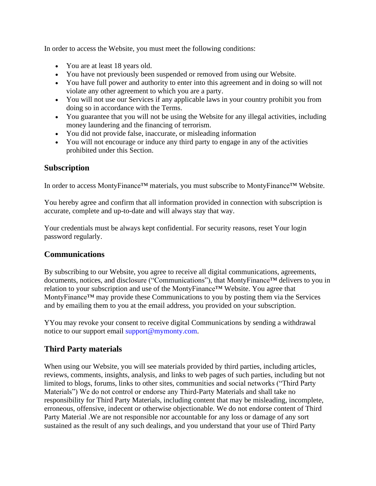In order to access the Website, you must meet the following conditions:

- You are at least 18 years old.
- You have not previously been suspended or removed from using our Website.
- You have full power and authority to enter into this agreement and in doing so will not violate any other agreement to which you are a party.
- You will not use our Services if any applicable laws in your country prohibit you from doing so in accordance with the Terms.
- You guarantee that you will not be using the Website for any illegal activities, including money laundering and the financing of terrorism.
- You did not provide false, inaccurate, or misleading information
- You will not encourage or induce any third party to engage in any of the activities prohibited under this Section.

## **Subscription**

In order to access MontyFinance™ materials, you must subscribe to MontyFinance™ Website.

You hereby agree and confirm that all information provided in connection with subscription is accurate, complete and up-to-date and will always stay that way.

Your credentials must be always kept confidential. For security reasons, reset Your login password regularly.

## **Communications**

By subscribing to our Website, you agree to receive all digital communications, agreements, documents, notices, and disclosure ("Communications"), that MontyFinance™ delivers to you in relation to your subscription and use of the MontyFinance™ Website. You agree that MontyFinance™ may provide these Communications to you by posting them via the Services and by emailing them to you at the email address, you provided on your subscription.

YYou may revoke your consent to receive digital Communications by sending a withdrawal notice to our support email [support@mymonty.com.](mailto:support@mymonty.com)

# **Third Party materials**

When using our Website, you will see materials provided by third parties, including articles, reviews, comments, insights, analysis, and links to web pages of such parties, including but not limited to blogs, forums, links to other sites, communities and social networks ("Third Party Materials") We do not control or endorse any Third-Party Materials and shall take no responsibility for Third Party Materials, including content that may be misleading, incomplete, erroneous, offensive, indecent or otherwise objectionable. We do not endorse content of Third Party Material .We are not responsible nor accountable for any loss or damage of any sort sustained as the result of any such dealings, and you understand that your use of Third Party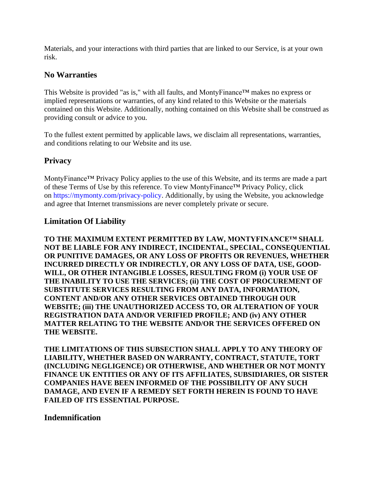Materials, and your interactions with third parties that are linked to our Service, is at your own risk.

## **No Warranties**

This Website is provided "as is," with all faults, and MontyFinance™ makes no express or implied representations or warranties, of any kind related to this Website or the materials contained on this Website. Additionally, nothing contained on this Website shall be construed as providing consult or advice to you.

To the fullest extent permitted by applicable laws, we disclaim all representations, warranties, and conditions relating to our Website and its use.

#### **Privacy**

MontyFinance™ Privacy Policy applies to the use of this Website, and its terms are made a part of these Terms of Use by this reference. To view MontyFinance™ Privacy Policy, click on [https://mymonty.com/privacy-policy.](https://mymonty.com/privacy-policy) Additionally, by using the Website, you acknowledge and agree that Internet transmissions are never completely private or secure.

#### **Limitation Of Liability**

**TO THE MAXIMUM EXTENT PERMITTED BY LAW, MONTYFINANCE™ SHALL NOT BE LIABLE FOR ANY INDIRECT, INCIDENTAL, SPECIAL, CONSEQUENTIAL OR PUNITIVE DAMAGES, OR ANY LOSS OF PROFITS OR REVENUES, WHETHER INCURRED DIRECTLY OR INDIRECTLY, OR ANY LOSS OF DATA, USE, GOOD-WILL, OR OTHER INTANGIBLE LOSSES, RESULTING FROM (i) YOUR USE OF THE INABILITY TO USE THE SERVICES; (ii) THE COST OF PROCUREMENT OF SUBSTITUTE SERVICES RESULTING FROM ANY DATA, INFORMATION, CONTENT AND/OR ANY OTHER SERVICES OBTAINED THROUGH OUR WEBSITE; (iii) THE UNAUTHORIZED ACCESS TO, OR ALTERATION OF YOUR REGISTRATION DATA AND/OR VERIFIED PROFILE; AND (iv) ANY OTHER MATTER RELATING TO THE WEBSITE AND/OR THE SERVICES OFFERED ON THE WEBSITE.**

**THE LIMITATIONS OF THIS SUBSECTION SHALL APPLY TO ANY THEORY OF LIABILITY, WHETHER BASED ON WARRANTY, CONTRACT, STATUTE, TORT (INCLUDING NEGLIGENCE) OR OTHERWISE, AND WHETHER OR NOT MONTY FINANCE UK ENTITIES OR ANY OF ITS AFFILIATES, SUBSIDIARIES, OR SISTER COMPANIES HAVE BEEN INFORMED OF THE POSSIBILITY OF ANY SUCH DAMAGE, AND EVEN IF A REMEDY SET FORTH HEREIN IS FOUND TO HAVE FAILED OF ITS ESSENTIAL PURPOSE.**

#### **Indemnification**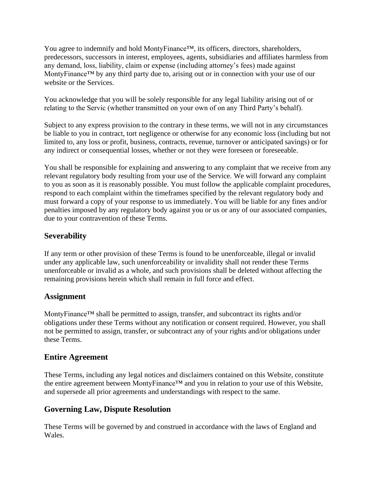You agree to indemnify and hold MontyFinance™, its officers, directors, shareholders, predecessors, successors in interest, employees, agents, subsidiaries and affiliates harmless from any demand, loss, liability, claim or expense (including attorney's fees) made against MontyFinance™ by any third party due to, arising out or in connection with your use of our website or the Services.

You acknowledge that you will be solely responsible for any legal liability arising out of or relating to the Servic (whether transmitted on your own of on any Third Party's behalf).

Subject to any express provision to the contrary in these terms, we will not in any circumstances be liable to you in contract, tort negligence or otherwise for any economic loss (including but not limited to, any loss or profit, business, contracts, revenue, turnover or anticipated savings) or for any indirect or consequential losses, whether or not they were foreseen or foreseeable.

You shall be responsible for explaining and answering to any complaint that we receive from any relevant regulatory body resulting from your use of the Service. We will forward any complaint to you as soon as it is reasonably possible. You must follow the applicable complaint procedures, respond to each complaint within the timeframes specified by the relevant regulatory body and must forward a copy of your response to us immediately. You will be liable for any fines and/or penalties imposed by any regulatory body against you or us or any of our associated companies, due to your contravention of these Terms.

# **Severability**

If any term or other provision of these Terms is found to be unenforceable, illegal or invalid under any applicable law, such unenforceability or invalidity shall not render these Terms unenforceable or invalid as a whole, and such provisions shall be deleted without affecting the remaining provisions herein which shall remain in full force and effect.

# **Assignment**

MontyFinance<sup>™</sup> shall be permitted to assign, transfer, and subcontract its rights and/or obligations under these Terms without any notification or consent required. However, you shall not be permitted to assign, transfer, or subcontract any of your rights and/or obligations under these Terms.

# **Entire Agreement**

These Terms, including any legal notices and disclaimers contained on this Website, constitute the entire agreement between MontyFinance™ and you in relation to your use of this Website, and supersede all prior agreements and understandings with respect to the same.

# **Governing Law, Dispute Resolution**

These Terms will be governed by and construed in accordance with the laws of England and Wales.